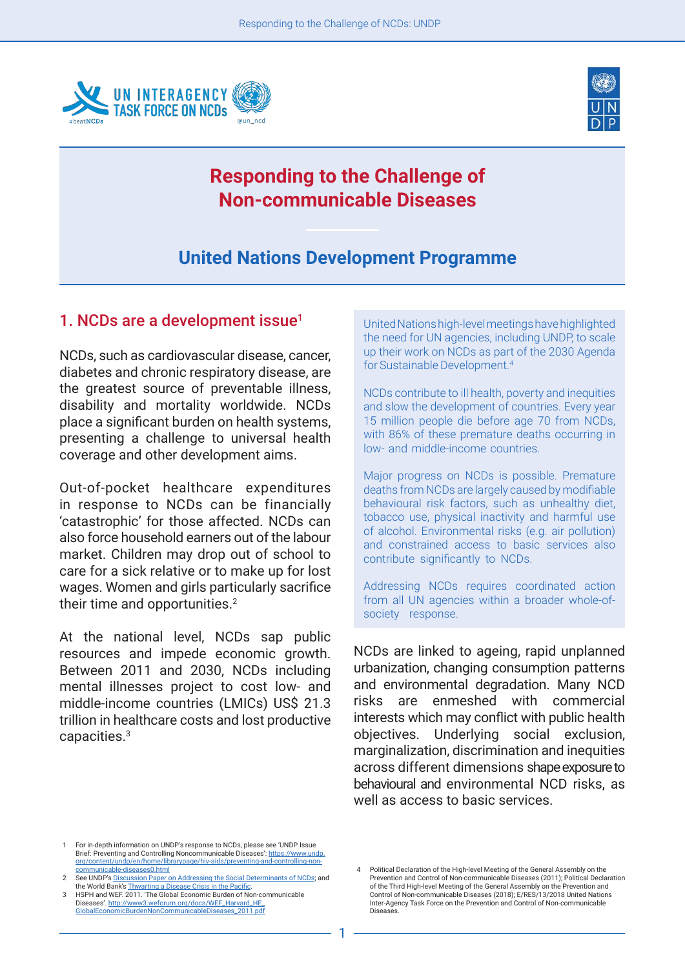



# **Responding to the Challenge of Non-communicable Diseases**

## **United Nations Development Programme**

#### 1. NCDs are a development issue $<sup>1</sup>$ </sup>

NCDs, such as cardiovascular disease, cancer, diabetes and chronic respiratory disease, are the greatest source of preventable illness, disability and mortality worldwide. NCDs place a significant burden on health systems, presenting a challenge to universal health coverage and other development aims.1

Out-of-pocket healthcare expenditures in response to NCDs can be financially 'catastrophic' for those affected. NCDs can also force household earners out of the labour market. Children may drop out of school to care for a sick relative or to make up for lost wages. Women and girls particularly sacrifice their time and opportunities.<sup>2</sup>

At the national level, NCDs sap public resources and impede economic growth. Between 2011 and 2030, NCDs including mental illnesses project to cost low- and middle-income countries (LMICs) US\$ 21.3 trillion in healthcare costs and lost productive capacities.3

United Nations high-level meetings have highlighted the need for UN agencies, including UNDP, to scale up their work on NCDs as part of the 2030 Agenda for Sustainable Development.4

NCDs contribute to ill health, poverty and inequities and slow the development of countries. Every year 15 million people die before age 70 from NCDs, with 86% of these premature deaths occurring in low- and middle-income countries.

Major progress on NCDs is possible. Premature deaths from NCDs are largely caused by modifiable behavioural risk factors, such as unhealthy diet, tobacco use, physical inactivity and harmful use of alcohol. Environmental risks (e.g. air pollution) and constrained access to basic services also contribute significantly to NCDs.

Addressing NCDs requires coordinated action from all UN agencies within a broader whole-ofsociety response.

NCDs are linked to ageing, rapid unplanned urbanization, changing consumption patterns and environmental degradation. Many NCD risks are enmeshed with commercial interests which may conflict with public health objectives. Underlying social exclusion, marginalization, discrimination and inequities across different dimensions shape exposure to behavioural and environmental NCD risks, as well as access to basic services.

<sup>1</sup> For in-depth information on UNDP's response to NCDs, please see 'UNDP Issue Brief: Preventing and Controlling Noncommunicable Diseases': [https://www.undp.](https://www.undp.org/content/undp/en/home/librarypage/hiv-aids/preventing-and-controlling-non-communicable-diseases0.html) [org/content/undp/en/home/librarypage/hiv-aids/preventing-and-controlling-non](https://www.undp.org/content/undp/en/home/librarypage/hiv-aids/preventing-and-controlling-non-communicable-diseases0.html)[communicable-diseases0.html](https://www.undp.org/content/undp/en/home/librarypage/hiv-aids/preventing-and-controlling-non-communicable-diseases0.html)

<sup>2</sup> See UNDP's [Discussion Paper on Addressing the Social Determinants of NCDs;](http://www.undp.org/content/dam/undp/library/hivaids/English/Discussion_Paper_Addressing_the_Social_Determinants_of_NCDs_UNDP_2013.pdf) and the World Bank's [Thwarting a Disease Crisis in the Pacific](https://www.worldbank.org/en/news/feature/2013/01/16/thwarting-a-disease-crisis-in-the-pacific). 3 HSPH and WEF. 2011. 'The Global Economic Burden of Non-communicable

Diseases'. [http://www3.weforum.org/docs/WEF\\_Harvard\\_HE\\_](http://www3.weforum.org/docs/WEF_Harvard_HE_GlobalEconomicBurdenNonCommunicableDiseases_2011.pdf) [GlobalEconomicBurdenNonCommunicableDiseases\\_2011.pdf](http://www3.weforum.org/docs/WEF_Harvard_HE_GlobalEconomicBurdenNonCommunicableDiseases_2011.pdf)

Political Declaration of the High-level Meeting of the General Assembly on the Prevention and Control of Non-communicable Diseases (2011); Political Declaration of the Third High-level Meeting of the General Assembly on the Prevention and Control of Non-communicable Diseases (2018); E/RES/13/2018 United Nations Inter-Agency Task Force on the Prevention and Control of Non-communicable Diseases.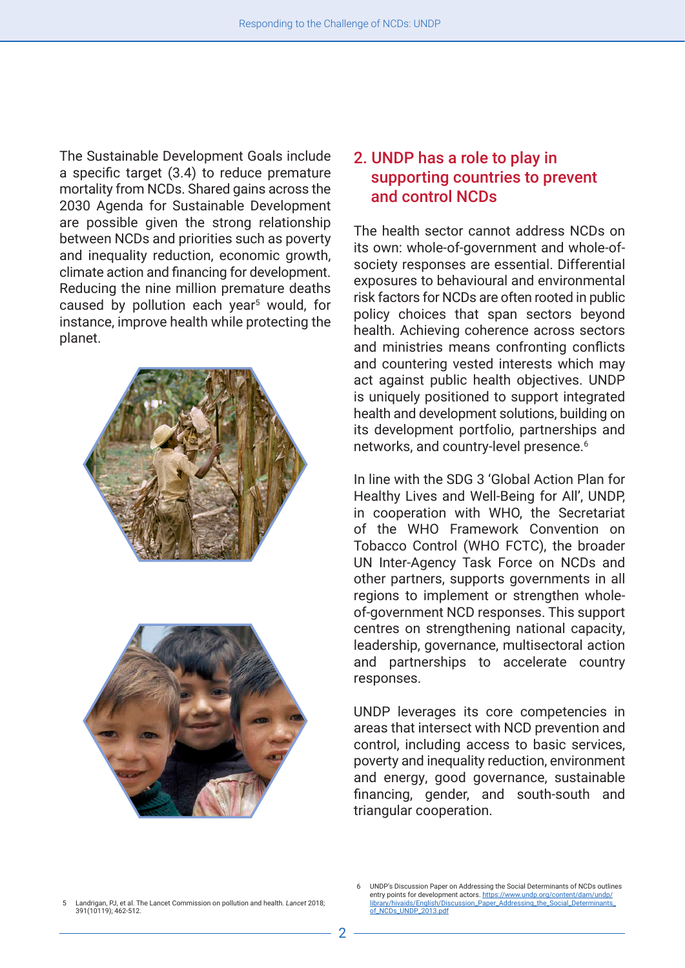The Sustainable Development Goals include a specific target (3.4) to reduce premature mortality from NCDs. Shared gains across the 2030 Agenda for Sustainable Development are possible given the strong relationship between NCDs and priorities such as poverty and inequality reduction, economic growth, climate action and financing for development. Reducing the nine million premature deaths caused by pollution each year<sup>5</sup> would, for instance, improve health while protecting the planet.





### 2. UNDP has a role to play in supporting countries to prevent and control NCDs

The health sector cannot address NCDs on its own: whole-of-government and whole-ofsociety responses are essential. Differential exposures to behavioural and environmental risk factors for NCDs are often rooted in public policy choices that span sectors beyond health. Achieving coherence across sectors and ministries means confronting conflicts and countering vested interests which may act against public health objectives. UNDP is uniquely positioned to support integrated health and development solutions, building on its development portfolio, partnerships and networks, and country-level presence.<sup>6</sup>

In line with the SDG 3 'Global Action Plan for Healthy Lives and Well-Being for All', UNDP, in cooperation with WHO, the Secretariat of the WHO Framework Convention on Tobacco Control (WHO FCTC), the broader UN Inter-Agency Task Force on NCDs and other partners, supports governments in all regions to implement or strengthen wholeof-government NCD responses. This support centres on strengthening national capacity, leadership, governance, multisectoral action and partnerships to accelerate country responses.

UNDP leverages its core competencies in areas that intersect with NCD prevention and control, including access to basic services, poverty and inequality reduction, environment and energy, good governance, sustainable financing, gender, and south-south and triangular cooperation.

<sup>5</sup> Landrigan, PJ, et al. The Lancet Commission on pollution and health. *Lancet* 2018; 391(10119); 462-512.

UNDP's Discussion Paper on Addressing the Social Determinants of NCDs outlines entry points for development actors. [https://www.undp.org/content/dam/undp/](https://www.undp.org/content/dam/undp/library/hivaids/English/Discussion_Paper_Addressing_the_Social_Determinants_of_NCDs_UNDP_2013.pdf) ary/hivaids/English/Discussion\_Paper\_Addressing\_the\_Social\_Determinants\_ [of\\_NCDs\\_UNDP\\_2013.pdf](https://www.undp.org/content/dam/undp/library/hivaids/English/Discussion_Paper_Addressing_the_Social_Determinants_of_NCDs_UNDP_2013.pdf)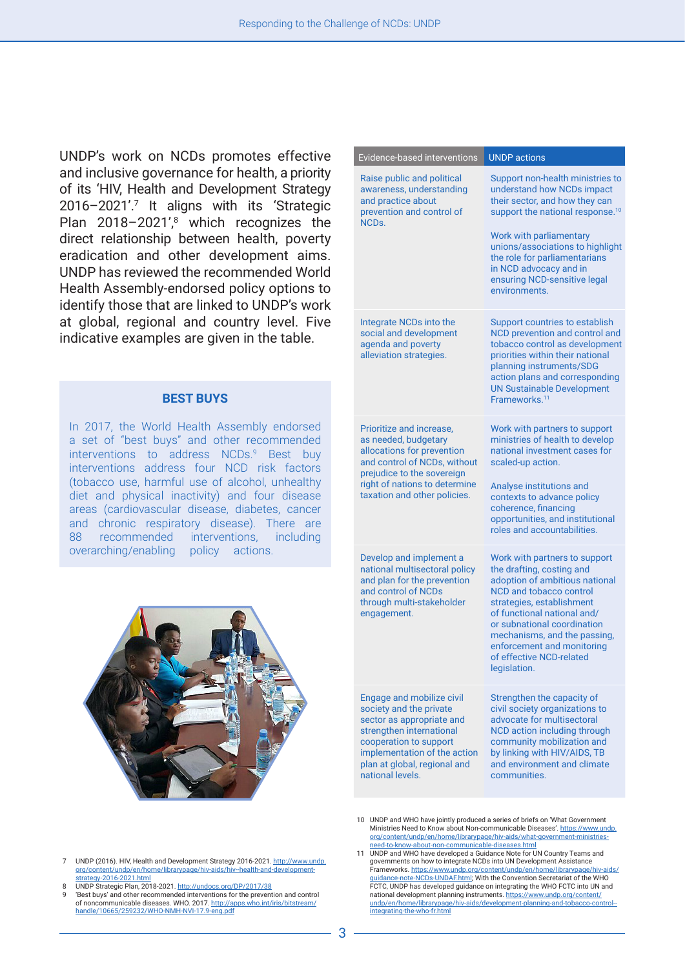UNDP's work on NCDs promotes effective and inclusive governance for health, a priority of its 'HIV, Health and Development Strategy 2016–2021'.7 It aligns with its 'Strategic Plan 2018-2021',<sup>8</sup> which recognizes the direct relationship between health, poverty eradication and other development aims. UNDP has reviewed the recommended World Health Assembly-endorsed policy options to identify those that are linked to UNDP's work at global, regional and country level. Five indicative examples are given in the table.

#### **BEST BUYS**

In 2017, the World Health Assembly endorsed a set of "best buys" and other recommended interventions to address NCDs.<sup>9</sup> Best buy interventions address four NCD risk factors (tobacco use, harmful use of alcohol, unhealthy diet and physical inactivity) and four disease areas (cardiovascular disease, diabetes, cancer and chronic respiratory disease). There are 88 recommended interventions, including overarching/enabling policy actions.



| Evidence-based interventions                                                                                                                                                                                                | <b>UNDP</b> actions                                                                                                                                                                                                                                                                                                                 |
|-----------------------------------------------------------------------------------------------------------------------------------------------------------------------------------------------------------------------------|-------------------------------------------------------------------------------------------------------------------------------------------------------------------------------------------------------------------------------------------------------------------------------------------------------------------------------------|
| Raise public and political<br>awareness, understanding<br>and practice about<br>prevention and control of<br>NCD <sub>S</sub>                                                                                               | Support non-health ministries to<br>understand how NCDs impact<br>their sector, and how they can<br>support the national response. <sup>10</sup><br>Work with parliamentary<br>unions/associations to highlight<br>the role for parliamentarians<br>in NCD advocacy and in<br>ensuring NCD-sensitive legal<br>environments.         |
| Integrate NCDs into the<br>social and development<br>agenda and poverty<br>alleviation strategies.                                                                                                                          | Support countries to establish<br>NCD prevention and control and<br>tobacco control as development<br>priorities within their national<br>planning instruments/SDG<br>action plans and corresponding<br><b>UN Sustainable Development</b><br>Frameworks. <sup>11</sup>                                                              |
| Prioritize and increase,<br>as needed, budgetary<br>allocations for prevention<br>and control of NCDs, without<br>prejudice to the sovereign<br>right of nations to determine<br>taxation and other policies.               | Work with partners to support<br>ministries of health to develop<br>national investment cases for<br>scaled-up action.<br>Analyse institutions and<br>contexts to advance policy<br>coherence, financing<br>opportunities, and institutional<br>roles and accountabilities.                                                         |
| Develop and implement a<br>national multisectoral policy<br>and plan for the prevention<br>and control of NCDs<br>through multi-stakeholder<br>engagement.                                                                  | Work with partners to support<br>the drafting, costing and<br>adoption of ambitious national<br><b>NCD and tobacco control</b><br>strategies, establishment<br>of functional national and/<br>or subnational coordination<br>mechanisms, and the passing,<br>enforcement and monitoring<br>of effective NCD-related<br>legislation. |
| Engage and mobilize civil<br>society and the private<br>sector as appropriate and<br>strengthen international<br>cooperation to support<br>implementation of the action<br>plan at global, regional and<br>national levels. | Strengthen the capacity of<br>civil society organizations to<br>advocate for multisectoral<br>NCD action including through<br>community mobilization and<br>by linking with HIV/AIDS, TB<br>and environment and climate<br>communities.                                                                                             |

- 10 UNDP and WHO have jointly produced a series of briefs on 'What Government Ministries Need to Know about Non-communicable Diseases'. [https://www.undp.](https://www.undp.org/content/undp/en/home/librarypage/hiv-aids/what-government-ministries-need-to-know-about-non-communicable-diseases.html) [org/content/undp/en/home/librarypage/hiv-aids/what-government-ministries](https://www.undp.org/content/undp/en/home/librarypage/hiv-aids/what-government-ministries-need-to-know-about-non-communicable-diseases.html)[need-to-know-about-non-communicable-diseases.html](https://www.undp.org/content/undp/en/home/librarypage/hiv-aids/what-government-ministries-need-to-know-about-non-communicable-diseases.html)
- 11 UNDP and WHO have developed a Guidance Note for UN Country Teams and governments on how to integrate NCDs into UN Development Assistance Frameworks. [https://www.undp.org/content/undp/en/home/librarypage/hiv-aids/](https://www.undp.org/content/undp/en/home/librarypage/hiv-aids/guidance-note-NCDs-UNDAF.html) [guidance-note-NCDs-UNDAF.html](https://www.undp.org/content/undp/en/home/librarypage/hiv-aids/guidance-note-NCDs-UNDAF.html); With the Convention Secretariat of the WHO FCTC, UNDP has developed guidance on integrating the WHO FCTC into UN and national development planning instruments. [https://www.undp.org/content/](https://www.undp.org/content/undp/en/home/librarypage/hiv-aids/development-planning-and-tobacco-control--integrating-the-who-fr.html) [undp/en/home/librarypage/hiv-aids/development-planning-and-tobacco-control-](https://www.undp.org/content/undp/en/home/librarypage/hiv-aids/development-planning-and-tobacco-control--integrating-the-who-fr.html) [integrating-the-who-fr.html](https://www.undp.org/content/undp/en/home/librarypage/hiv-aids/development-planning-and-tobacco-control--integrating-the-who-fr.html)
- 7 UNDP (2016). HIV, Health and Development Strategy 2016-2021. [http://www.undp.](http://www.undp.org/content/undp/en/home/librarypage/hiv-aids/hiv--health-and-development-strategy-2016-2021.html) org/content/undp/en/home/librarypage/hiv-aids/hiv--health-andrategy-2016-2021.html
- 8 UNDP Strategic Plan, 2018-2021. <http://undocs.org/DP/2017/38>
- 'Best buys' and other recommended interventions for the prevention and control<br>of noncommunicable diseases. WHO 2017 http://anns.who.int/iris/bitstream/ of the chief recent measurement of the computation of the computation of the computation of the computation of  $\mu$ [handle/10665/259232/WHO-NMH-NVI-17.9-eng.pdf](http://apps.who.int/iris/bitstream/handle/10665/259232/WHO-NMH-NVI-17.9-eng.pdf)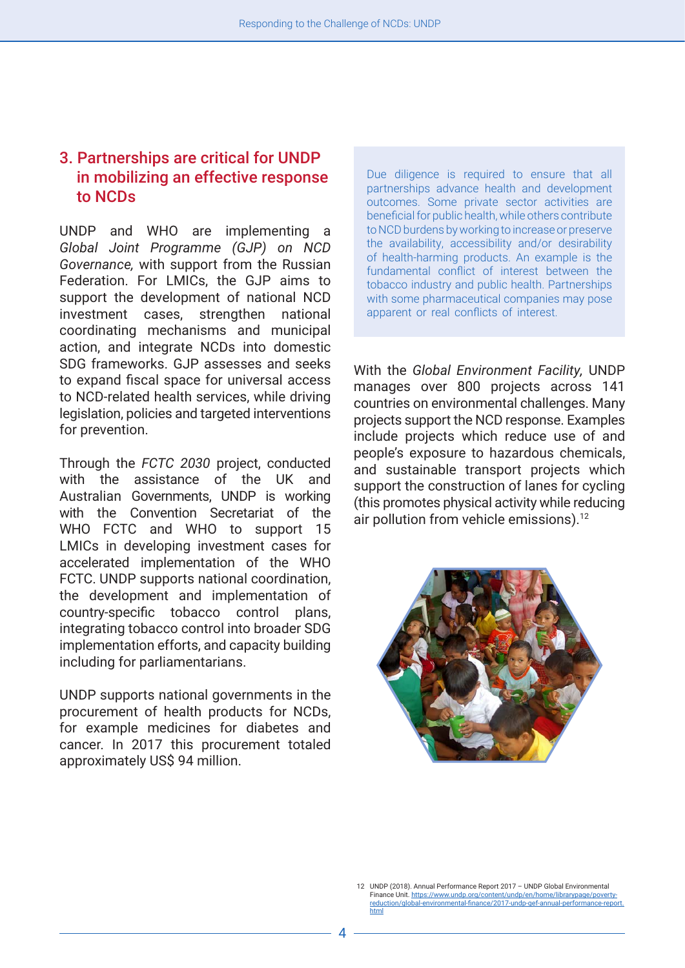### 3. Partnerships are critical for UNDP in mobilizing an effective response to NCDs

UNDP and WHO are implementing a *Global Joint Programme (GJP) on NCD Governance,* with support from the Russian Federation. For LMICs, the GJP aims to support the development of national NCD investment cases, strengthen national coordinating mechanisms and municipal action, and integrate NCDs into domestic SDG frameworks. GJP assesses and seeks to expand fiscal space for universal access to NCD-related health services, while driving legislation, policies and targeted interventions for prevention.

Through the *FCTC 2030* project, conducted with the assistance of the UK and Australian Governments, UNDP is working with the Convention Secretariat of the WHO FCTC and WHO to support 15 LMICs in developing investment cases for accelerated implementation of the WHO FCTC. UNDP supports national coordination, the development and implementation of country-specific tobacco control plans, integrating tobacco control into broader SDG implementation efforts, and capacity building including for parliamentarians.

UNDP supports national governments in the procurement of health products for NCDs, for example medicines for diabetes and cancer. In 2017 this procurement totaled approximately US\$ 94 million.

Due diligence is required to ensure that all partnerships advance health and development outcomes. Some private sector activities are beneficial for public health, while others contribute to NCD burdens by working to increase or preserve the availability, accessibility and/or desirability of health-harming products. An example is the fundamental conflict of interest between the tobacco industry and public health. Partnerships with some pharmaceutical companies may pose apparent or real conflicts of interest.

With the *Global Environment Facility,* UNDP manages over 800 projects across 141 countries on environmental challenges. Many projects support the NCD response. Examples include projects which reduce use of and people's exposure to hazardous chemicals, and sustainable transport projects which support the construction of lanes for cycling (this promotes physical activity while reducing air pollution from vehicle emissions).<sup>12</sup>



<sup>12</sup> UNDP (2018). Annual Performance Report 2017 – UNDP Global Environmental Finance Unit. [https://www.undp.org/content/undp/en/home/librarypage/poverty](https://www.undp.org/content/undp/en/home/librarypage/poverty-reduction/global-environmental-finance/2017-undp-gef-annual-performance-report.html)[reduction/global-environmental-finance/2017-undp-gef-annual-performance-report.](https://www.undp.org/content/undp/en/home/librarypage/poverty-reduction/global-environmental-finance/2017-undp-gef-annual-performance-report.html) [html](https://www.undp.org/content/undp/en/home/librarypage/poverty-reduction/global-environmental-finance/2017-undp-gef-annual-performance-report.html)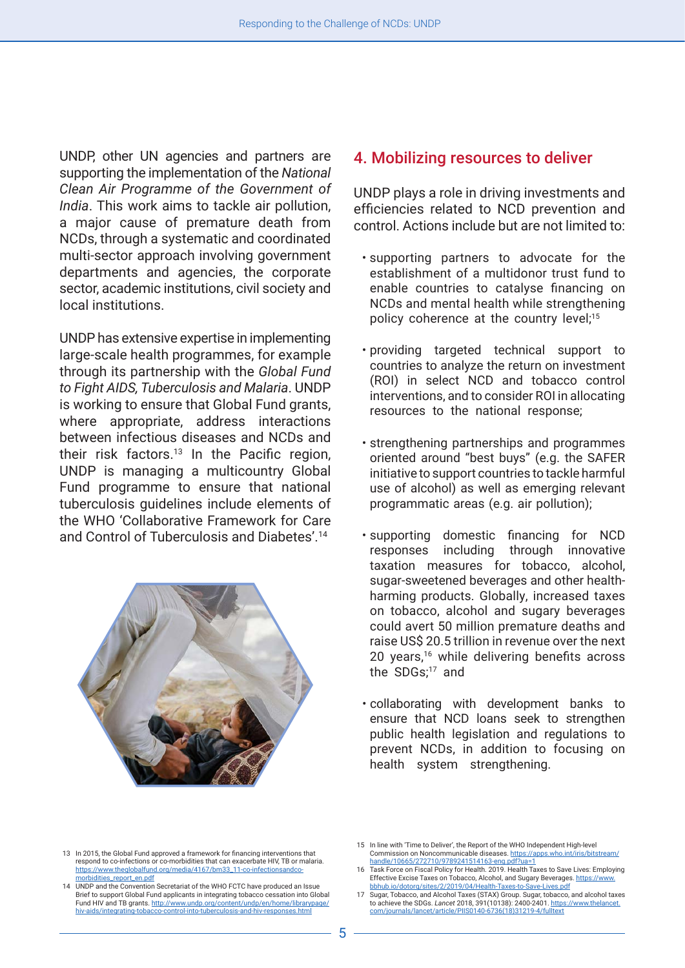UNDP, other UN agencies and partners are supporting the implementation of the *National Clean Air Programme of the Government of India*. This work aims to tackle air pollution, a major cause of premature death from NCDs, through a systematic and coordinated multi-sector approach involving government departments and agencies, the corporate sector, academic institutions, civil society and local institutions.

UNDP has extensive expertise in implementing large-scale health programmes, for example through its partnership with the *Global Fund to Fight AIDS, Tuberculosis and Malaria*. UNDP is working to ensure that Global Fund grants, where appropriate, address interactions between infectious diseases and NCDs and their risk factors.<sup>13</sup> In the Pacific region, UNDP is managing a multicountry Global Fund programme to ensure that national tuberculosis guidelines include elements of the WHO 'Collaborative Framework for Care and Control of Tuberculosis and Diabetes'.14



#### 4. Mobilizing resources to deliver

UNDP plays a role in driving investments and efficiencies related to NCD prevention and control. Actions include but are not limited to:

- supporting partners to advocate for the establishment of a multidonor trust fund to enable countries to catalyse financing on NCDs and mental health while strengthening policy coherence at the country level;<sup>15</sup>
- providing targeted technical support to countries to analyze the return on investment (ROI) in select NCD and tobacco control interventions, and to consider ROI in allocating resources to the national response;
- strengthening partnerships and programmes oriented around "best buys" (e.g. the SAFER initiative to support countries to tackle harmful use of alcohol) as well as emerging relevant programmatic areas (e.g. air pollution);
- supporting domestic financing for NCD responses including through innovative taxation measures for tobacco, alcohol, sugar-sweetened beverages and other healthharming products. Globally, increased taxes on tobacco, alcohol and sugary beverages could avert 50 million premature deaths and raise US\$ 20.5 trillion in revenue over the next 20 years,<sup>16</sup> while delivering benefits across the SDGs;17 and
- collaborating with development banks to ensure that NCD loans seek to strengthen public health legislation and regulations to prevent NCDs, in addition to focusing on health system strengthening.

<sup>13</sup> In 2015, the Global Fund approved a framework for financing interventions that respond to co-infections or co-morbidities that can exacerbate HIV, TB or malaria. https://www.theglobalfund.org/media/4167/bm33\_11-co-infect [morbidities\\_report\\_en.pdf](https://www.theglobalfund.org/media/4167/bm33_11-co-infectionsandco-morbidities_report_en.pdf)

<sup>14</sup> UNDP and the Convention Secretariat of the WHO FCTC have produced an Issue Brief to support Global Fund applicants in integrating tobacco cessation into Global Fund HIV and TB grants. [http://www.undp.org/content/undp/en/home/librarypage/](http://www.undp.org/content/undp/en/home/librarypage/hiv-aids/integrating-tobacco-control-into-tuberculosis-and-hiv-responses.html) [hiv-aids/integrating-tobacco-control-into-tuberculosis-and-hiv-responses.html](http://www.undp.org/content/undp/en/home/librarypage/hiv-aids/integrating-tobacco-control-into-tuberculosis-and-hiv-responses.html)

<sup>15</sup> In line with 'Time to Deliver', the Report of the WHO Independent High-level Commission on Noncommunicable diseases. [https://apps.who.int/iris/bitstream/](https://apps.who.int/iris/bitstream/handle/10665/272710/9789241514163-eng.pdf?ua=1) [handle/10665/272710/9789241514163-eng.pdf?ua=1](https://apps.who.int/iris/bitstream/handle/10665/272710/9789241514163-eng.pdf?ua=1)

<sup>16</sup> Task Force on Fiscal Policy for Health. 2019. Health Taxes to Save Lives: Employing Effective Excise Taxes on Tobacco, Alcohol, and Sugary Beverages. [https://www.](https://www.bbhub.io/dotorg/sites/2/2019/04/Health-Taxes-to-Save-Lives.pdf) [bbhub.io/dotorg/sites/2/2019/04/Health-Taxes-to-Save-Lives.pdf](https://www.bbhub.io/dotorg/sites/2/2019/04/Health-Taxes-to-Save-Lives.pdf) 

<sup>17</sup> Sugar, Tobacco, and Alcohol Taxes (STAX) Group. Sugar, tobacco, and alcohol taxes to achieve the SDGs. *Lancet* 2018, 391(10138): 2400-2401. [https://www.thelancet.](https://www.thelancet.com/journals/lancet/article/PIIS0140-6736(18)31219-4/fulltext) [com/journals/lancet/article/PIIS0140-6736\(18\)31219-4/fulltext](https://www.thelancet.com/journals/lancet/article/PIIS0140-6736(18)31219-4/fulltext)